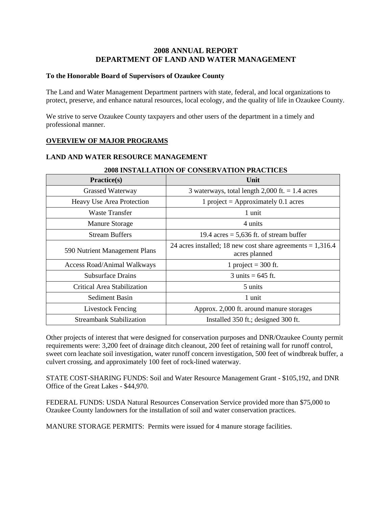# **2008 ANNUAL REPORT DEPARTMENT OF LAND AND WATER MANAGEMENT**

### **To the Honorable Board of Supervisors of Ozaukee County**

The Land and Water Management Department partners with state, federal, and local organizations to protect, preserve, and enhance natural resources, local ecology, and the quality of life in Ozaukee County.

We strive to serve Ozaukee County taxpayers and other users of the department in a timely and professional manner.

# **OVERVIEW OF MAJOR PROGRAMS**

## **LAND AND WATER RESOURCE MANAGEMENT**

| Practice(s)                     | Unit                                                                          |  |
|---------------------------------|-------------------------------------------------------------------------------|--|
| <b>Grassed Waterway</b>         | 3 waterways, total length $2,000$ ft. = 1.4 acres                             |  |
| Heavy Use Area Protection       | 1 project = Approximately 0.1 acres                                           |  |
| <b>Waste Transfer</b>           | 1 unit                                                                        |  |
| <b>Manure Storage</b>           | 4 units                                                                       |  |
| <b>Stream Buffers</b>           | 19.4 acres = $5,636$ ft. of stream buffer                                     |  |
| 590 Nutrient Management Plans   | 24 acres installed; 18 new cost share agreements $= 1,316.4$<br>acres planned |  |
| Access Road/Animal Walkways     | 1 project = $300$ ft.                                                         |  |
| <b>Subsurface Drains</b>        | $3 \text{ units} = 645 \text{ ft}.$                                           |  |
| Critical Area Stabilization     | 5 units                                                                       |  |
| Sediment Basin                  | 1 unit                                                                        |  |
| <b>Livestock Fencing</b>        | Approx. 2,000 ft. around manure storages                                      |  |
| <b>Streambank Stabilization</b> | Installed 350 ft.; designed 300 ft.                                           |  |

#### **2008 INSTALLATION OF CONSERVATION PRACTICES**

Other projects of interest that were designed for conservation purposes and DNR/Ozaukee County permit requirements were: 3,200 feet of drainage ditch cleanout, 200 feet of retaining wall for runoff control, sweet corn leachate soil investigation, water runoff concern investigation, 500 feet of windbreak buffer, a culvert crossing, and approximately 100 feet of rock-lined waterway.

STATE COST-SHARING FUNDS: Soil and Water Resource Management Grant - \$105,192, and DNR Office of the Great Lakes - \$44,970.

FEDERAL FUNDS: USDA Natural Resources Conservation Service provided more than \$75,000 to Ozaukee County landowners for the installation of soil and water conservation practices.

MANURE STORAGE PERMITS: Permits were issued for 4 manure storage facilities.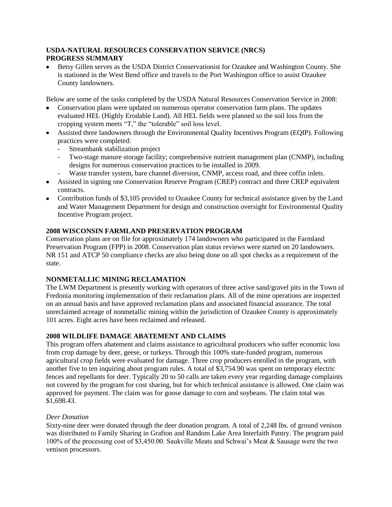## **USDA-NATURAL RESOURCES CONSERVATION SERVICE (NRCS) PROGRESS SUMMARY**

Betsy Gillen serves as the USDA District Conservationist for Ozaukee and Washington County. She is stationed in the West Bend office and travels to the Port Washington office to assist Ozaukee County landowners.

Below are some of the tasks completed by the USDA Natural Resources Conservation Service in 2008:

- Conservation plans were updated on numerous operator conservation farm plans. The updates evaluated HEL (Highly Erodable Land). All HEL fields were planned so the soil loss from the cropping system meets "T," the "tolerable" soil loss level.
- Assisted three landowners through the Environmental Quality Incentives Program (EQIP). Following practices were completed:
	- Streambank stabilization project
	- Two-stage manure storage facility; comprehensive nutrient management plan (CNMP), including designs for numerous conservation practices to be installed in 2009.
	- Waste transfer system, bare channel diversion, CNMP, access road, and three coffin inlets.
- Assisted in signing one Conservation Reserve Program (CREP) contract and three CREP equivalent contracts.
- Contribution funds of \$3,105 provided to Ozaukee County for technical assistance given by the Land and Water Management Department for design and construction oversight for Environmental Quality Incentive Program project.

## **2008 WISCONSIN FARMLAND PRESERVATION PROGRAM**

Conservation plans are on file for approximately 174 landowners who participated in the Farmland Preservation Program (FPP) in 2008. Conservation plan status reviews were started on 20 landowners. NR 151 and ATCP 50 compliance checks are also being done on all spot checks as a requirement of the state.

#### **NONMETALLIC MINING RECLAMATION**

The LWM Department is presently working with operators of three active sand/gravel pits in the Town of Fredonia monitoring implementation of their reclamation plans. All of the mine operations are inspected on an annual basis and have approved reclamation plans and associated financial assurance. The total unreclaimed acreage of nonmetallic mining within the jurisdiction of Ozaukee County is approximately 101 acres. Eight acres have been reclaimed and released.

#### **2008 WILDLIFE DAMAGE ABATEMENT AND CLAIMS**

This program offers abatement and claims assistance to agricultural producers who suffer economic loss from crop damage by deer, geese, or turkeys. Through this 100% state-funded program, numerous agricultural crop fields were evaluated for damage. Three crop producers enrolled in the program, with another five to ten inquiring about program rules. A total of \$3,754.90 was spent on temporary electric fences and repellants for deer. Typically 20 to 50 calls are taken every year regarding damage complaints not covered by the program for cost sharing, but for which technical assistance is allowed. One claim was approved for payment. The claim was for goose damage to corn and soybeans. The claim total was \$1,698.43.

#### *Deer Donation*

Sixty-nine deer were donated through the deer donation program. A total of 2,248 lbs. of ground venison was distributed to Family Sharing in Grafton and Random Lake Area Interfaith Pantry. The program paid 100% of the processing cost of \$3,450.00. Saukville Meats and Schwai's Meat & Sausage were the two venison processors.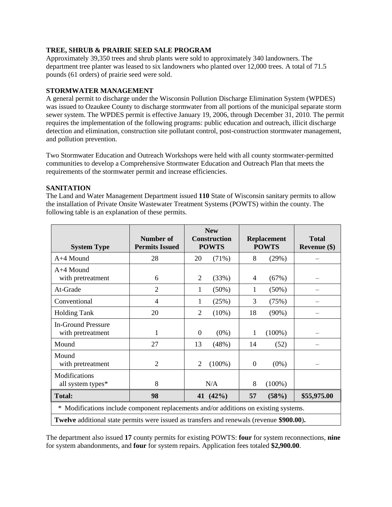## **TREE, SHRUB & PRAIRIE SEED SALE PROGRAM**

Approximately 39,350 trees and shrub plants were sold to approximately 340 landowners. The department tree planter was leased to six landowners who planted over 12,000 trees. A total of 71.5 pounds (61 orders) of prairie seed were sold.

#### **STORMWATER MANAGEMENT**

A general permit to discharge under the Wisconsin Pollution Discharge Elimination System (WPDES) was issued to Ozaukee County to discharge stormwater from all portions of the municipal separate storm sewer system. The WPDES permit is effective January 19, 2006, through December 31, 2010. The permit requires the implementation of the following programs: public education and outreach, illicit discharge detection and elimination, construction site pollutant control, post-construction stormwater management, and pollution prevention.

Two Stormwater Education and Outreach Workshops were held with all county stormwater-permitted communities to develop a Comprehensive Stormwater Education and Outreach Plan that meets the requirements of the stormwater permit and increase efficiencies.

#### **SANITATION**

The Land and Water Management Department issued **110** State of Wisconsin sanitary permits to allow the installation of Private Onsite Wastewater Treatment Systems (POWTS) within the county. The following table is an explanation of these permits.

| <b>System Type</b>                                                                               | <b>Number of</b><br><b>Permits Issued</b> | <b>New</b><br><b>Construction</b><br><b>POWTS</b> | <b>Replacement</b><br><b>POWTS</b> | <b>Total</b><br>Revenue (\$) |  |
|--------------------------------------------------------------------------------------------------|-------------------------------------------|---------------------------------------------------|------------------------------------|------------------------------|--|
| A+4 Mound                                                                                        | 28                                        | $(71\%)$<br>20                                    | 8<br>(29%)                         |                              |  |
| $A+4$ Mound<br>with pretreatment                                                                 | 6                                         | (33%)<br>2                                        | (67%)<br>4                         |                              |  |
| At-Grade                                                                                         | $\overline{2}$                            | $(50\%)$<br>1                                     | $(50\%)$<br>1                      |                              |  |
| Conventional                                                                                     | $\overline{4}$                            | (25%)<br>1                                        | 3<br>(75%)                         |                              |  |
| <b>Holding Tank</b>                                                                              | 20                                        | $\overline{2}$<br>$(10\%)$                        | $(90\%)$<br>18                     |                              |  |
| <b>In-Ground Pressure</b><br>with pretreatment                                                   | 1                                         | $\boldsymbol{0}$<br>$(0\%)$                       | $(100\%)$<br>1                     |                              |  |
| Mound                                                                                            | 27                                        | 13<br>(48%)                                       | (52)<br>14                         |                              |  |
| Mound<br>with pretreatment                                                                       | $\overline{2}$                            | $\overline{2}$<br>$(100\%)$                       | $(0\%)$<br>$\overline{0}$          |                              |  |
| <b>Modifications</b><br>all system types*                                                        | 8                                         | N/A                                               | 8<br>$(100\%)$                     |                              |  |
| <b>Total:</b>                                                                                    | 98                                        | 41 (42%)                                          | 57<br>(58%)                        | \$55,975.00                  |  |
| Modifications include component replacements and/or additions on existing systems.<br>∗          |                                           |                                                   |                                    |                              |  |
| <b>Twelve</b> additional state permits were issued as transfers and renewals (revenue \$900.00). |                                           |                                                   |                                    |                              |  |

The department also issued **17** county permits for existing POWTS: **four** for system reconnections, **nine** for system abandonments, and **four** for system repairs. Application fees totaled **\$2,900.00**.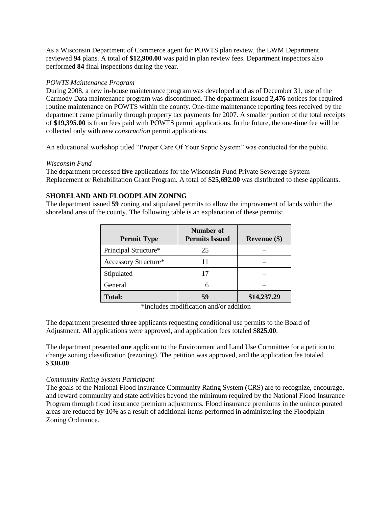As a Wisconsin Department of Commerce agent for POWTS plan review, the LWM Department reviewed **94** plans. A total of **\$12,900.00** was paid in plan review fees. Department inspectors also performed **84** final inspections during the year.

### *POWTS Maintenance Program*

During 2008, a new in-house maintenance program was developed and as of December 31, use of the Carmody Data maintenance program was discontinued. The department issued **2,476** notices for required routine maintenance on POWTS within the county. One-time maintenance reporting fees received by the department came primarily through property tax payments for 2007. A smaller portion of the total receipts of **\$19,395.00** is from fees paid with POWTS permit applications. In the future, the one-time fee will be collected only with *new construction* permit applications.

An educational workshop titled "Proper Care Of Your Septic System" was conducted for the public.

## *Wisconsin Fund*

The department processed **five** applications for the Wisconsin Fund Private Sewerage System Replacement or Rehabilitation Grant Program. A total of **\$25,692.00** was distributed to these applicants.

# **SHORELAND AND FLOODPLAIN ZONING**

The department issued **59** zoning and stipulated permits to allow the improvement of lands within the shoreland area of the county. The following table is an explanation of these permits:

| <b>Permit Type</b>   | Number of<br><b>Permits Issued</b> | Revenue $(\$)$ |
|----------------------|------------------------------------|----------------|
| Principal Structure* | 25                                 |                |
| Accessory Structure* | 11                                 |                |
| Stipulated           | 17                                 |                |
| General              | 6                                  |                |
| <b>Total:</b>        | 59                                 | \$14,237.29    |

\*Includes modification and/or addition

The department presented **three** applicants requesting conditional use permits to the Board of Adjustment. **All** applications were approved, and application fees totaled **\$825.00**.

The department presented **one** applicant to the Environment and Land Use Committee for a petition to change zoning classification (rezoning). The petition was approved, and the application fee totaled **\$330.00**.

# *Community Rating System Participant*

The goals of the National Flood Insurance Community Rating System (CRS) are to recognize, encourage, and reward community and state activities beyond the minimum required by the National Flood Insurance Program through flood insurance premium adjustments. Flood insurance premiums in the unincorporated areas are reduced by 10% as a result of additional items performed in administering the Floodplain Zoning Ordinance.